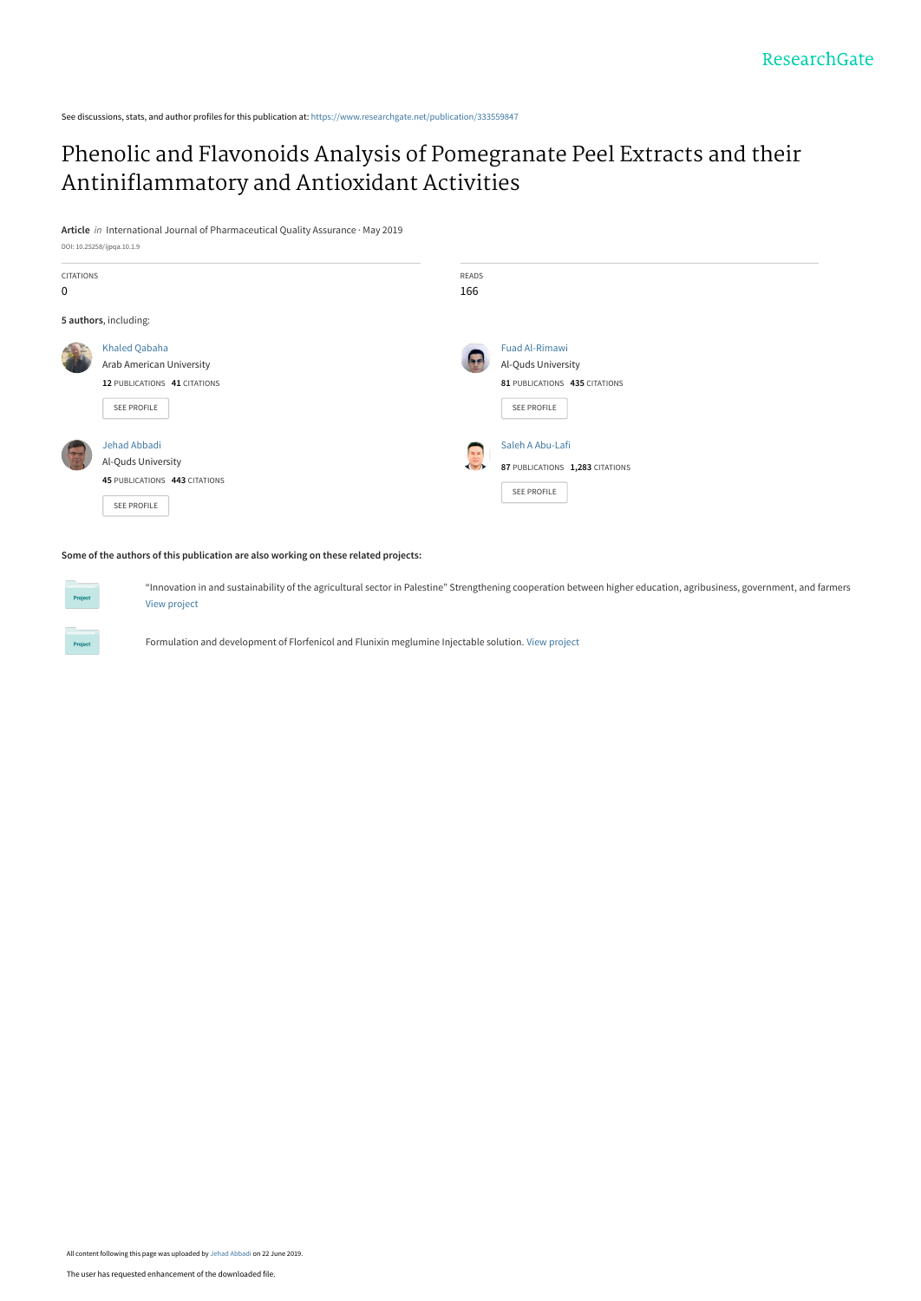See discussions, stats, and author profiles for this publication at: [https://www.researchgate.net/publication/333559847](https://www.researchgate.net/publication/333559847_Phenolic_and_Flavonoids_Analysis_of_Pomegranate_Peel_Extracts_and_their_Antiniflammatory_and_Antioxidant_Activities?enrichId=rgreq-e1350fe3fd650e92e15cc38eb185ce9f-XXX&enrichSource=Y292ZXJQYWdlOzMzMzU1OTg0NztBUzo3NzI1MjI3MzU4MzMwODhAMTU2MTE5NTE4MTI3MQ%3D%3D&el=1_x_2&_esc=publicationCoverPdf)

## [Phenolic and Flavonoids Analysis of Pomegranate Peel Extracts and their](https://www.researchgate.net/publication/333559847_Phenolic_and_Flavonoids_Analysis_of_Pomegranate_Peel_Extracts_and_their_Antiniflammatory_and_Antioxidant_Activities?enrichId=rgreq-e1350fe3fd650e92e15cc38eb185ce9f-XXX&enrichSource=Y292ZXJQYWdlOzMzMzU1OTg0NztBUzo3NzI1MjI3MzU4MzMwODhAMTU2MTE5NTE4MTI3MQ%3D%3D&el=1_x_3&_esc=publicationCoverPdf) Antiniflammatory and Antioxidant Activities

**Article** in International Journal of Pharmaceutical Quality Assurance · May 2019



#### **Some of the authors of this publication are also working on these related projects:**

"Innovation in and sustainability of the agricultural sector in Palestine" Strengthening cooperation between higher education, agribusiness, government, and farmers [View project](https://www.researchgate.net/project/Innovation-in-and-sustainability-of-the-agricultural-sector-in-Palestine-Strengthening-cooperation-between-higher-education-agribusiness-government-and-farmers?enrichId=rgreq-e1350fe3fd650e92e15cc38eb185ce9f-XXX&enrichSource=Y292ZXJQYWdlOzMzMzU1OTg0NztBUzo3NzI1MjI3MzU4MzMwODhAMTU2MTE5NTE4MTI3MQ%3D%3D&el=1_x_9&_esc=publicationCoverPdf)

Formulation and development of Florfenicol and Flunixin meglumine Injectable solution. [View project](https://www.researchgate.net/project/Formulation-and-development-of-Florfenicol-and-Flunixin-meglumine-Injectable-solution?enrichId=rgreq-e1350fe3fd650e92e15cc38eb185ce9f-XXX&enrichSource=Y292ZXJQYWdlOzMzMzU1OTg0NztBUzo3NzI1MjI3MzU4MzMwODhAMTU2MTE5NTE4MTI3MQ%3D%3D&el=1_x_9&_esc=publicationCoverPdf)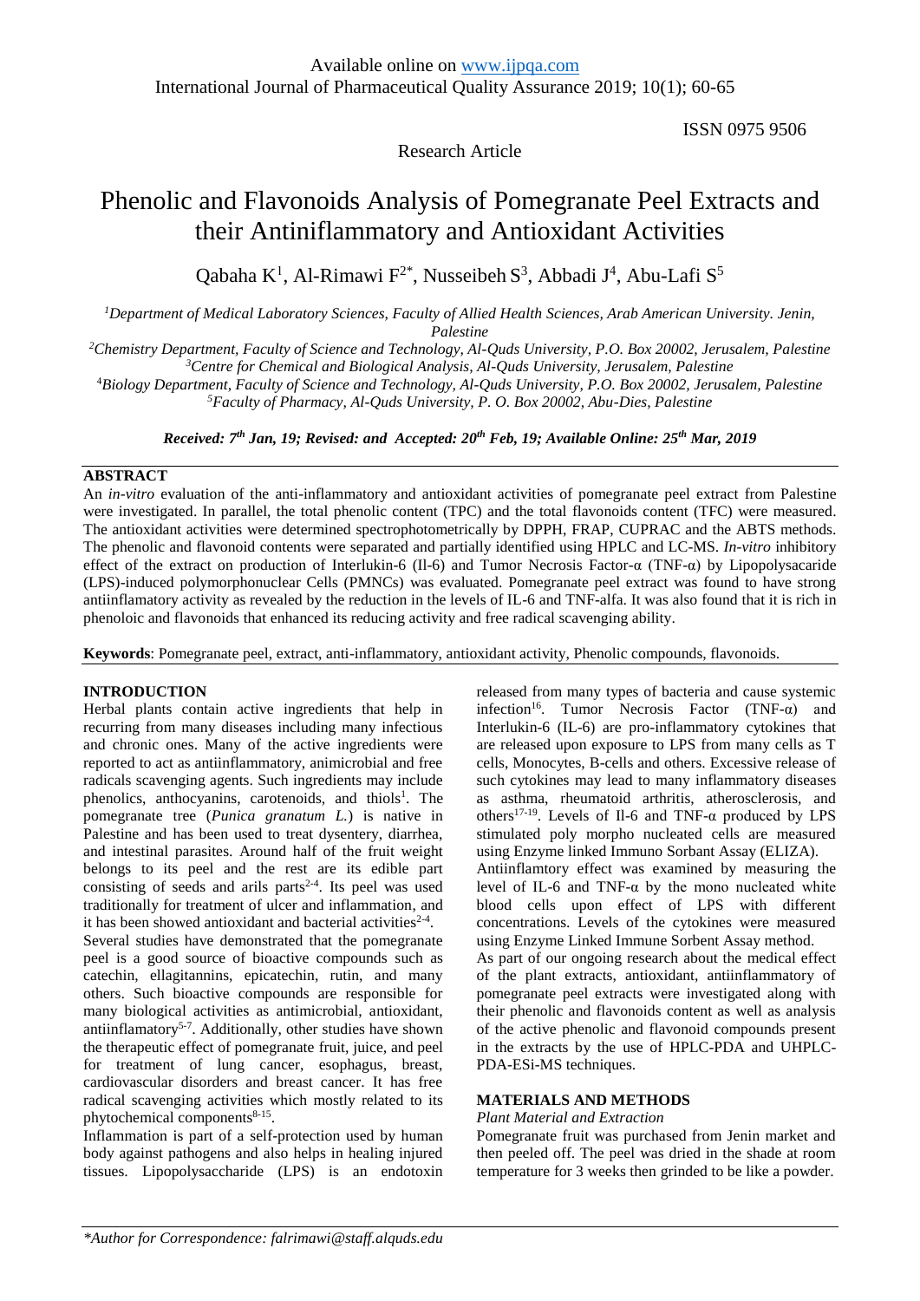ISSN 0975 9506

## Research Article

# Phenolic and Flavonoids Analysis of Pomegranate Peel Extracts and their Antiniflammatory and Antioxidant Activities

Qabaha K<sup>1</sup>, Al-Rimawi F<sup>2\*</sup>, Nusseibeh S<sup>3</sup>, Abbadi J<sup>4</sup>, Abu-Lafi S<sup>5</sup>

*<sup>1</sup>Department of Medical Laboratory Sciences, Faculty of Allied Health Sciences, Arab American University. Jenin, Palestine*

*<sup>2</sup>Chemistry Department, Faculty of Science and Technology, Al-Quds University, P.O. Box 20002, Jerusalem, Palestine <sup>3</sup>Centre for Chemical and Biological Analysis, Al-Quds University, Jerusalem, Palestine*

<sup>4</sup>*Biology Department, Faculty of Science and Technology, Al-Quds University, P.O. Box 20002, Jerusalem, Palestine*

*<sup>5</sup>Faculty of Pharmacy, Al-Quds University, P. O. Box 20002, Abu-Dies, Palestine*

*Received: 7 th Jan, 19; Revised: and Accepted: 20th Feb, 19; Available Online: 25th Mar, 2019*

## **ABSTRACT**

An *in-vitro* evaluation of the anti-inflammatory and antioxidant activities of pomegranate peel extract from Palestine were investigated. In parallel, the total phenolic content (TPC) and the total flavonoids content (TFC) were measured. The antioxidant activities were determined spectrophotometrically by DPPH, FRAP, CUPRAC and the ABTS methods. The phenolic and flavonoid contents were separated and partially identified using HPLC and LC-MS. *In-vitro* inhibitory effect of the extract on production of Interlukin-6 (Il-6) and Tumor Necrosis Factor-α (TNF-α) by Lipopolysacaride (LPS)-induced polymorphonuclear Cells (PMNCs) was evaluated. Pomegranate peel extract was found to have strong antiinflamatory activity as revealed by the reduction in the levels of IL-6 and TNF-alfa. It was also found that it is rich in phenoloic and flavonoids that enhanced its reducing activity and free radical scavenging ability.

**Keywords**: Pomegranate peel, extract, anti-inflammatory, antioxidant activity, Phenolic compounds, flavonoids.

### **INTRODUCTION**

Herbal plants contain active ingredients that help in recurring from many diseases including many infectious and chronic ones. Many of the active ingredients were reported to act as antiinflammatory, animicrobial and free radicals scavenging agents. Such ingredients may include phenolics, anthocyanins, carotenoids, and thiols<sup>1</sup>. The pomegranate tree (*Punica granatum L.*) is native in Palestine and has been used to treat dysentery, diarrhea, and intestinal parasites. Around half of the fruit weight belongs to its peel and the rest are its edible part consisting of seeds and arils parts<sup>2-4</sup>. Its peel was used traditionally for treatment of ulcer and inflammation, and it has been showed antioxidant and bacterial activities $2-4$ .

Several studies have demonstrated that the pomegranate peel is a good source of bioactive compounds such as catechin, ellagitannins, epicatechin, rutin, and many others. Such bioactive compounds are responsible for many biological activities as antimicrobial, antioxidant, antiinflamatory<sup>5-7</sup>. Additionally, other studies have shown the therapeutic effect of pomegranate fruit, juice, and peel for treatment of lung cancer, esophagus, breast, cardiovascular disorders and breast cancer. It has free radical scavenging activities which mostly related to its phytochemical components<sup>8-15</sup>.

Inflammation is part of a self-protection used by human body against pathogens and also helps in healing injured tissues. Lipopolysaccharide (LPS) is an endotoxin

released from many types of bacteria and cause systemic infection<sup>16</sup>. Tumor Necrosis Factor (TNF- $\alpha$ ) and Interlukin-6 (IL-6) are pro-inflammatory cytokines that are released upon exposure to LPS from many cells as T cells, Monocytes, B-cells and others. Excessive release of such cytokines may lead to many inflammatory diseases as asthma, rheumatoid arthritis, atherosclerosis, and others<sup>17-19</sup>. Levels of Il-6 and TNF- $\alpha$  produced by LPS stimulated poly morpho nucleated cells are measured using Enzyme linked Immuno Sorbant Assay (ELIZA). Antiinflamtory effect was examined by measuring the level of IL-6 and TNF- $\alpha$  by the mono nucleated white blood cells upon effect of LPS with different concentrations. Levels of the cytokines were measured using Enzyme Linked Immune Sorbent Assay method. As part of our ongoing research about the medical effect of the plant extracts, antioxidant, antiinflammatory of pomegranate peel extracts were investigated along with their phenolic and flavonoids content as well as analysis of the active phenolic and flavonoid compounds present in the extracts by the use of HPLC-PDA and UHPLC-PDA-ESi-MS techniques.

## **MATERIALS AND METHODS**

### *Plant Material and Extraction*

Pomegranate fruit was purchased from Jenin market and then peeled off. The peel was dried in the shade at room temperature for 3 weeks then grinded to be like a powder.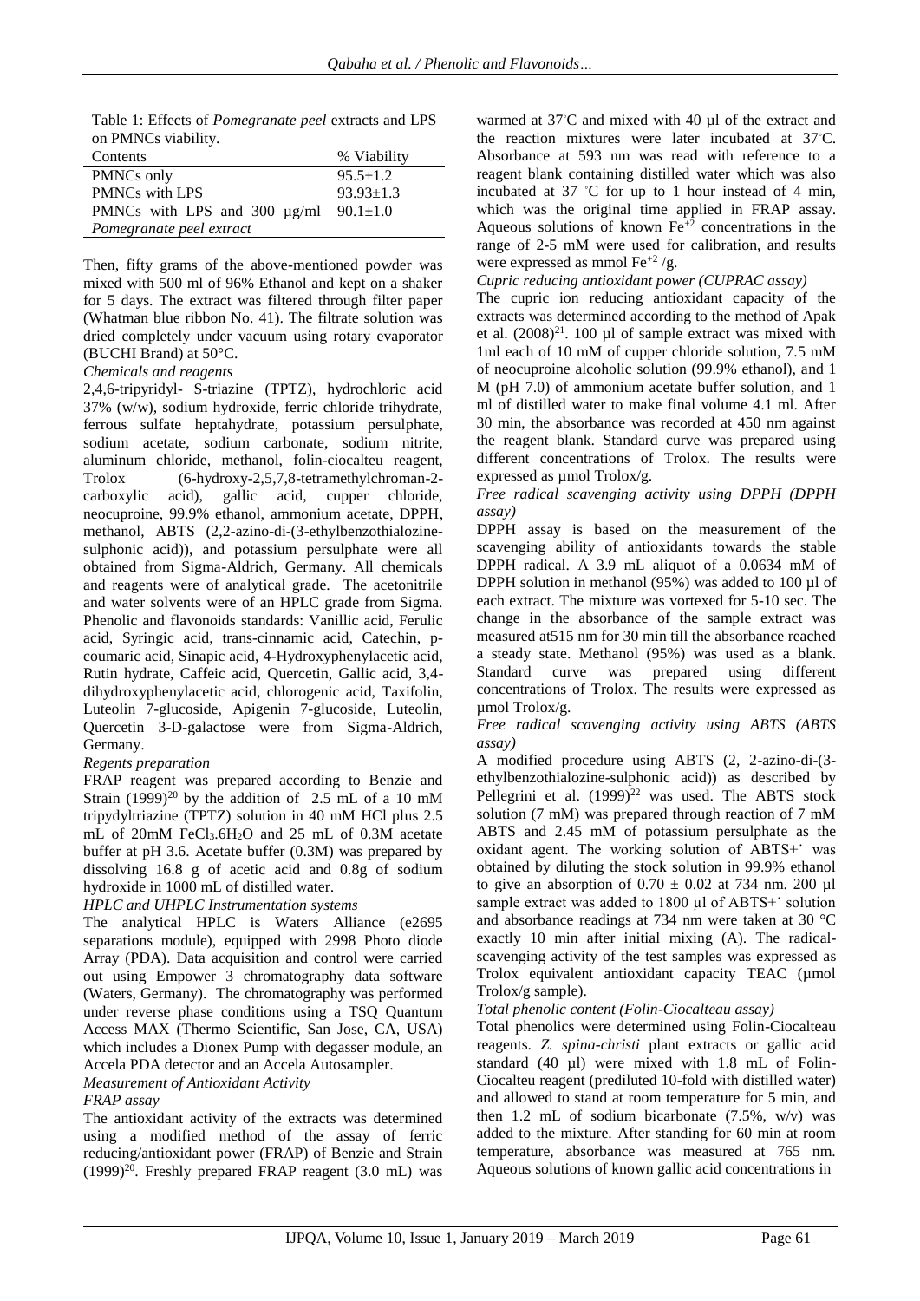Table 1: Effects of *Pomegranate peel* extracts and LPS on PMNCs viability.

| Contents                          | % Viability     |  |  |  |  |
|-----------------------------------|-----------------|--|--|--|--|
| PMNCs only                        | $95.5 \pm 1.2$  |  |  |  |  |
| <b>PMNCs with LPS</b>             | $93.93 \pm 1.3$ |  |  |  |  |
| PMNCs with LPS and 300 $\mu$ g/ml | $90.1 \pm 1.0$  |  |  |  |  |
| Pomegranate peel extract          |                 |  |  |  |  |

Then, fifty grams of the above-mentioned powder was mixed with 500 ml of 96% Ethanol and kept on a shaker for 5 days. The extract was filtered through filter paper (Whatman blue ribbon No. 41). The filtrate solution was dried completely under vacuum using rotary evaporator (BUCHI Brand) at 50°C.

## *Chemicals and reagents*

2,4,6-tripyridyl- S-triazine (TPTZ), hydrochloric acid 37% (w/w), sodium hydroxide, ferric chloride trihydrate, ferrous sulfate heptahydrate, potassium persulphate, sodium acetate, sodium carbonate, sodium nitrite, aluminum chloride, methanol, folin-ciocalteu reagent, Trolox (6-hydroxy-2,5,7,8-tetramethylchroman-2 carboxylic acid), gallic acid, cupper chloride, neocuproine, 99.9% ethanol, ammonium acetate, DPPH, methanol, ABTS (2,2-azino-di-(3-ethylbenzothialozinesulphonic acid)), and potassium persulphate were all obtained from Sigma-Aldrich, Germany. All chemicals and reagents were of analytical grade. The acetonitrile and water solvents were of an HPLC grade from Sigma. Phenolic and flavonoids standards: Vanillic acid, Ferulic acid, Syringic acid, trans-cinnamic acid, Catechin, pcoumaric acid, Sinapic acid, 4-Hydroxyphenylacetic acid, Rutin hydrate, Caffeic acid, Quercetin, Gallic acid, 3,4 dihydroxyphenylacetic acid, chlorogenic acid, Taxifolin, Luteolin 7-glucoside, Apigenin 7-glucoside, Luteolin, Quercetin 3-D-galactose were from Sigma-Aldrich, Germany.

## *Regents preparation*

FRAP reagent was prepared according to Benzie and Strain  $(1999)^{20}$  by the addition of 2.5 mL of a 10 mM tripydyltriazine (TPTZ) solution in 40 mM HCl plus 2.5 mL of 20mM FeCl3.6H2O and 25 mL of 0.3M acetate buffer at pH 3.6. Acetate buffer (0.3M) was prepared by dissolving 16.8 g of acetic acid and 0.8g of sodium hydroxide in 1000 mL of distilled water.

## *HPLC and UHPLC Instrumentation systems*

The analytical HPLC is Waters Alliance (e2695 separations module), equipped with 2998 Photo diode Array (PDA). Data acquisition and control were carried out using Empower 3 chromatography data software (Waters, Germany). The chromatography was performed under reverse phase conditions using a TSQ Quantum Access MAX (Thermo Scientific, San Jose, CA, USA) which includes a Dionex Pump with degasser module, an Accela PDA detector and an Accela Autosampler.

*Measurement of Antioxidant Activity* 

### *FRAP assay*

The antioxidant activity of the extracts was determined using a modified method of the assay of ferric reducing/antioxidant power (FRAP) of Benzie and Strain  $(1999)^{20}$ . Freshly prepared FRAP reagent  $(3.0 \text{ mL})$  was warmed at 37◦C and mixed with 40 µl of the extract and the reaction mixtures were later incubated at 37°C. Absorbance at 593 nm was read with reference to a reagent blank containing distilled water which was also incubated at 37 ◦C for up to 1 hour instead of 4 min, which was the original time applied in FRAP assay. Aqueous solutions of known  $Fe^{+2}$  concentrations in the range of 2-5 mM were used for calibration, and results were expressed as mmol Fe<sup>+2</sup>/g.

*Cupric reducing antioxidant power (CUPRAC assay)*

The cupric ion reducing antioxidant capacity of the extracts was determined according to the method of Apak et al.  $(2008)^{21}$ . 100 ul of sample extract was mixed with 1ml each of 10 mM of cupper chloride solution, 7.5 mM of neocuproine alcoholic solution (99.9% ethanol), and 1 M (pH 7.0) of ammonium acetate buffer solution, and 1 ml of distilled water to make final volume 4.1 ml. After 30 min, the absorbance was recorded at 450 nm against the reagent blank. Standard curve was prepared using different concentrations of Trolox. The results were expressed as  $\mu$ mol Trolox/g.

*Free radical scavenging activity using DPPH (DPPH assay)*

DPPH assay is based on the measurement of the scavenging ability of antioxidants towards the stable DPPH radical. A 3.9 mL aliquot of a 0.0634 mM of DPPH solution in methanol  $(95\%)$  was added to 100 µl of each extract. The mixture was vortexed for 5-10 sec. The change in the absorbance of the sample extract was measured at515 nm for 30 min till the absorbance reached a steady state. Methanol (95%) was used as a blank. Standard curve was prepared using different concentrations of Trolox. The results were expressed as µmol Trolox/g.

*Free radical scavenging activity using ABTS (ABTS assay)*

A modified procedure using ABTS (2, 2-azino-di-(3 ethylbenzothialozine-sulphonic acid)) as described by Pellegrini et al.  $(1999)^{22}$  was used. The ABTS stock solution (7 mM) was prepared through reaction of 7 mM ABTS and 2.45 mM of potassium persulphate as the oxidant agent. The working solution of ABTS+˙ was obtained by diluting the stock solution in 99.9% ethanol to give an absorption of  $0.70 \pm 0.02$  at 734 nm. 200 µl sample extract was added to 1800 µl of ABTS+' solution and absorbance readings at 734 nm were taken at 30 °C exactly 10 min after initial mixing (A). The radicalscavenging activity of the test samples was expressed as Trolox equivalent antioxidant capacity TEAC (umol Trolox/g sample).

### *Total phenolic content (Folin-Ciocalteau assay)*

Total phenolics were determined using Folin-Ciocalteau reagents. *Z. spina-christi* plant extracts or gallic acid standard (40 µl) were mixed with 1.8 mL of Folin-Ciocalteu reagent (prediluted 10-fold with distilled water) and allowed to stand at room temperature for 5 min, and then 1.2 mL of sodium bicarbonate  $(7.5\% , w/v)$  was added to the mixture. After standing for 60 min at room temperature, absorbance was measured at 765 nm. Aqueous solutions of known gallic acid concentrations in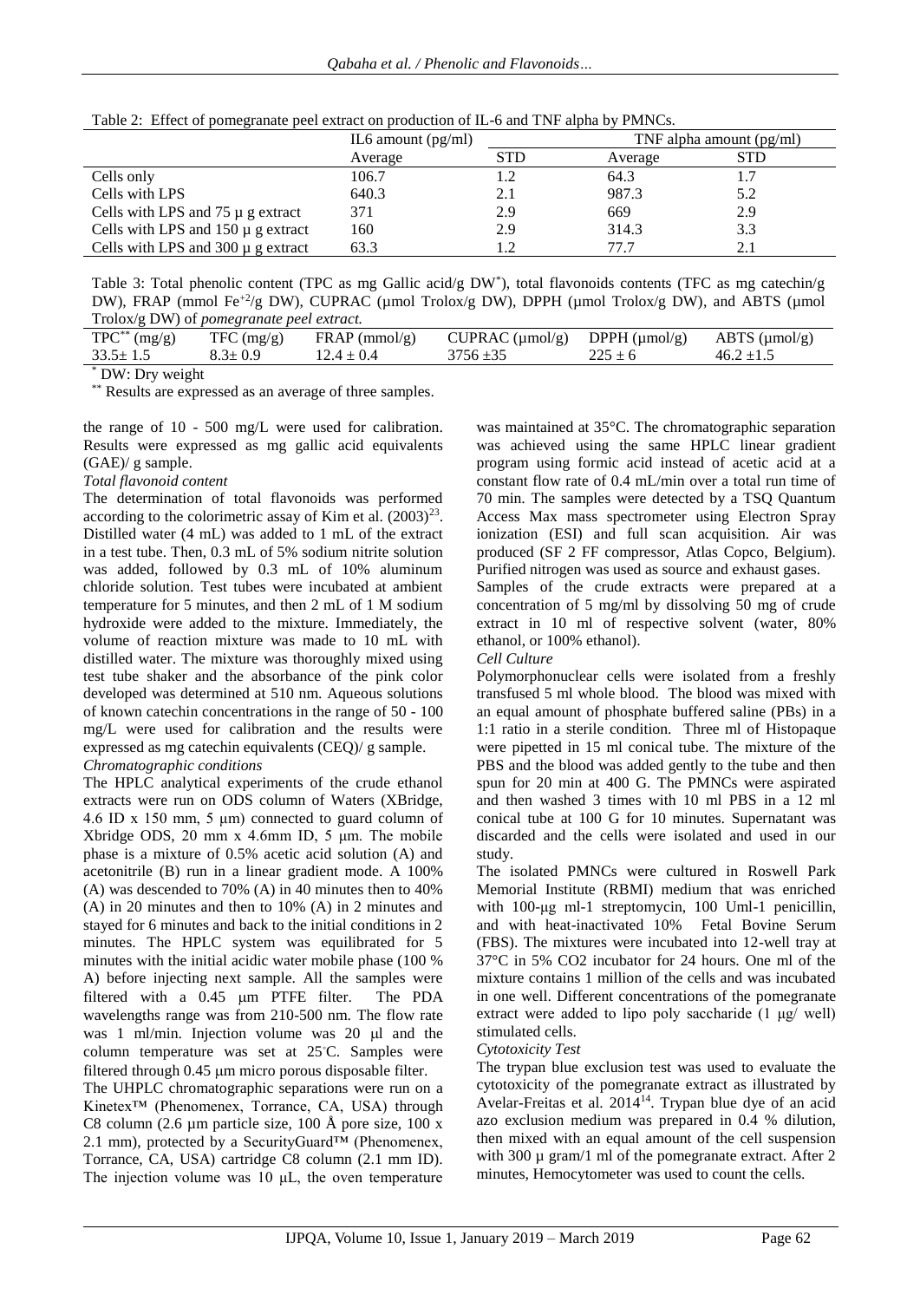| Table 2: Effect of pomegranate peel extract on production of IL-6 and TNF alpha by PMNCs. |
|-------------------------------------------------------------------------------------------|
|-------------------------------------------------------------------------------------------|

|                                        | IL6 amount $(pg/ml)$ |            | TNF alpha amount $(pg/ml)$ |     |
|----------------------------------------|----------------------|------------|----------------------------|-----|
|                                        | Average              | <b>STD</b> | Average                    | STD |
| Cells only                             | 106.7                |            | 64.3                       |     |
| Cells with LPS                         | 640.3                | 2.1        | 987.3                      | 5.2 |
| Cells with LPS and $75 \mu$ g extract  | 371                  | 2.9        | 669                        | 2.9 |
| Cells with LPS and $150 \mu$ g extract | 160                  | 2.9        | 314.3                      | 3.3 |
| Cells with LPS and $300 \mu$ g extract | 63.3                 |            | 77.7                       |     |

Table 3: Total phenolic content (TPC as mg Gallic acid/g DW\* ), total flavonoids contents (TFC as mg catechin/g DW), FRAP (mmol Fe<sup>+2</sup>/g DW), CUPRAC (µmol Trolox/g DW), DPPH (µmol Trolox/g DW), and ABTS (µmol Trolox/g DW) of *pomegranate peel extract.*

| $TPC^{**}$ (mg/g) | TFC (mg/g)    | $FRAP$ (mmol/g) | CUPRAC $(\mu \text{mol/g})$ DPPH $(\mu \text{mol/g})$ ABTS $(\mu \text{mol/g})$ |             |                |
|-------------------|---------------|-----------------|---------------------------------------------------------------------------------|-------------|----------------|
| $33.5 \pm 1.5$    | $8.3 \pm 0.9$ | $12.4 \pm 0.4$  | $3756 \pm 35$                                                                   | $225 \pm 6$ | $46.2 \pm 1.5$ |
|                   |               |                 |                                                                                 |             |                |

\* DW: Dry weight

\*\* Results are expressed as an average of three samples.

the range of 10 - 500 mg/L were used for calibration. Results were expressed as mg gallic acid equivalents (GAE)/ g sample.

#### *Total flavonoid content*

The determination of total flavonoids was performed according to the colorimetric assay of Kim et al.  $(2003)^{23}$ . Distilled water (4 mL) was added to 1 mL of the extract in a test tube. Then, 0.3 mL of 5% sodium nitrite solution was added, followed by 0.3 mL of 10% aluminum chloride solution. Test tubes were incubated at ambient temperature for 5 minutes, and then 2 mL of 1 M sodium hydroxide were added to the mixture. Immediately, the volume of reaction mixture was made to 10 mL with distilled water. The mixture was thoroughly mixed using test tube shaker and the absorbance of the pink color developed was determined at 510 nm. Aqueous solutions of known catechin concentrations in the range of 50 - 100 mg/L were used for calibration and the results were expressed as mg catechin equivalents (CEQ)/ g sample.

### *Chromatographic conditions*

The HPLC analytical experiments of the crude ethanol extracts were run on ODS column of Waters (XBridge, 4.6 ID x 150 mm, 5 μm) connected to guard column of Xbridge ODS, 20 mm x 4.6mm ID, 5 μm. The mobile phase is a mixture of 0.5% acetic acid solution (A) and acetonitrile (B) run in a linear gradient mode. A 100% (A) was descended to 70% (A) in 40 minutes then to 40% (A) in 20 minutes and then to 10% (A) in 2 minutes and stayed for 6 minutes and back to the initial conditions in 2 minutes. The HPLC system was equilibrated for 5 minutes with the initial acidic water mobile phase (100 % A) before injecting next sample. All the samples were filtered with a 0.45 µm PTFE filter. The PDA wavelengths range was from 210-500 nm. The flow rate was 1 ml/min. Injection volume was  $20 \mu l$  and the column temperature was set at 25◦C. Samples were filtered through  $0.45 \mu m$  micro porous disposable filter.

The UHPLC chromatographic separations were run on a Kinetex™ (Phenomenex, Torrance, CA, USA) through C8 column (2.6  $\mu$ m particle size, 100 Å pore size, 100 x 2.1 mm), protected by a SecurityGuard<sup>TM</sup> (Phenomenex, Torrance, CA, USA) cartridge C8 column (2.1 mm ID). The injection volume was  $10 \mu L$ , the oven temperature

was maintained at 35°C. The chromatographic separation was achieved using the same HPLC linear gradient program using formic acid instead of acetic acid at a constant flow rate of 0.4 mL/min over a total run time of 70 min. The samples were detected by a TSQ Quantum Access Max mass spectrometer using Electron Spray ionization (ESI) and full scan acquisition. Air was produced (SF 2 FF compressor, Atlas Copco, Belgium). Purified nitrogen was used as source and exhaust gases.

Samples of the crude extracts were prepared at a concentration of 5 mg/ml by dissolving 50 mg of crude extract in 10 ml of respective solvent (water, 80% ethanol, or 100% ethanol).

#### *Cell Culture*

Polymorphonuclear cells were isolated from a freshly transfused 5 ml whole blood. The blood was mixed with an equal amount of phosphate buffered saline (PBs) in a 1:1 ratio in a sterile condition. Three ml of Histopaque were pipetted in 15 ml conical tube. The mixture of the PBS and the blood was added gently to the tube and then spun for 20 min at 400 G. The PMNCs were aspirated and then washed 3 times with 10 ml PBS in a 12 ml conical tube at 100 G for 10 minutes. Supernatant was discarded and the cells were isolated and used in our study.

The isolated PMNCs were cultured in Roswell Park Memorial Institute (RBMI) medium that was enriched with 100-μg ml-1 streptomycin, 100 Uml-1 penicillin, and with heat-inactivated 10% Fetal Bovine Serum (FBS). The mixtures were incubated into 12-well tray at 37°C in 5% CO2 incubator for 24 hours. One ml of the mixture contains 1 million of the cells and was incubated in one well. Different concentrations of the pomegranate extract were added to lipo poly saccharide (1 μg/ well) stimulated cells.

#### *Cytotoxicity Test*

The trypan blue exclusion test was used to evaluate the cytotoxicity of the pomegranate extract as illustrated by Avelar-Freitas et al. 2014<sup>14</sup>. Trypan blue dye of an acid azo exclusion medium was prepared in 0.4 % dilution, then mixed with an equal amount of the cell suspension with 300  $\mu$  gram/1 ml of the pomegranate extract. After 2 minutes, Hemocytometer was used to count the cells.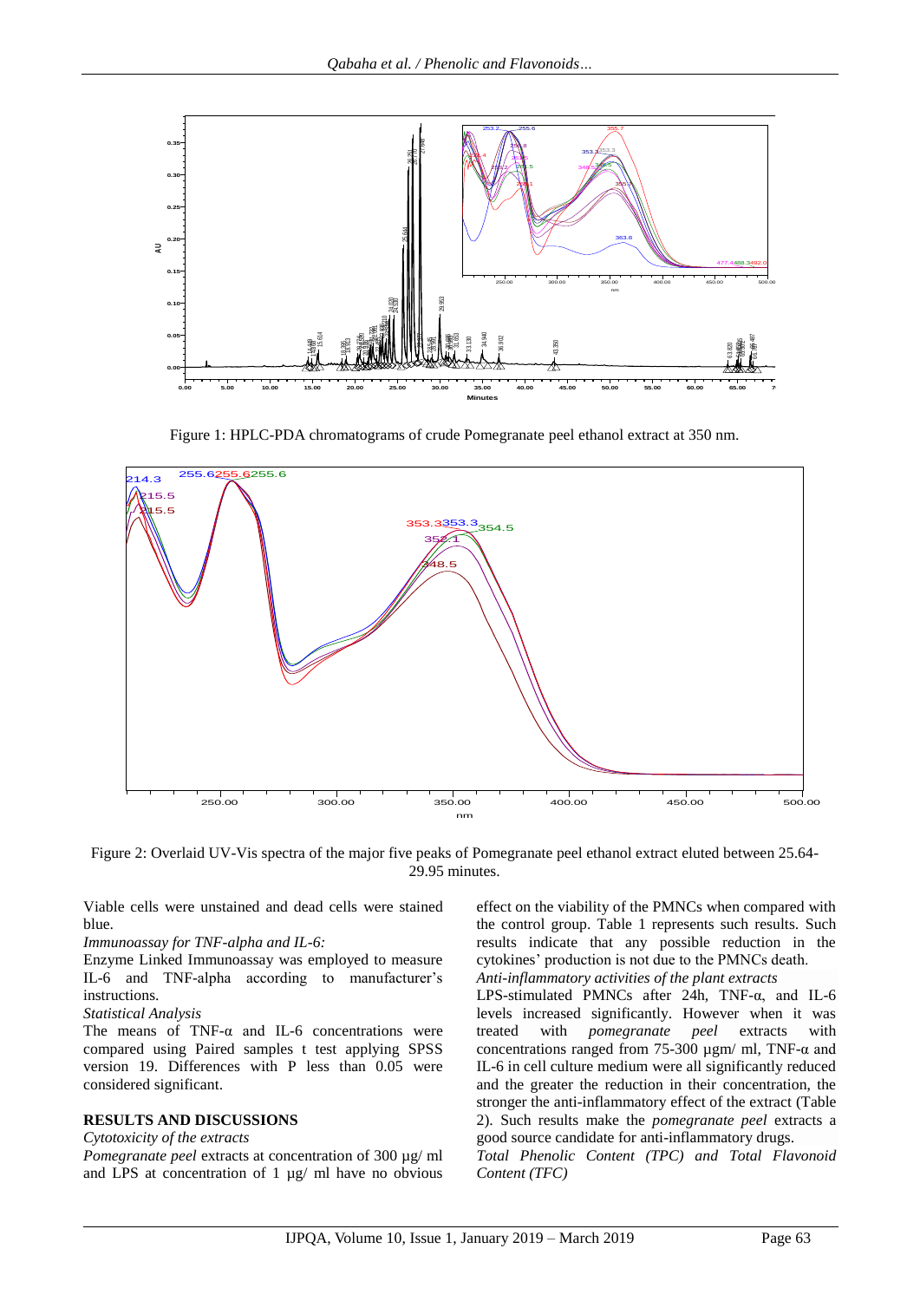

Figure 1: HPLC-PDA chromatograms of crude Pomegranate peel ethanol extract at 350 nm.



Figure 2: Overlaid UV-Vis spectra of the major five peaks of Pomegranate peel ethanol extract eluted between 25.64- 29.95 minutes.

Viable cells were unstained and dead cells were stained blue.

## *Immunoassay for TNF-alpha and IL-6:*

Enzyme Linked Immunoassay was employed to measure IL-6 and TNF-alpha according to manufacturer's instructions.

## *Statistical Analysis*

The means of TNF- $\alpha$  and IL-6 concentrations were compared using Paired samples t test applying SPSS version 19. Differences with P less than 0.05 were considered significant.

## **RESULTS AND DISCUSSIONS**

## *Cytotoxicity of the extracts*

*Pomegranate peel* extracts at concentration of 300 µg/ ml and LPS at concentration of 1 µg/ ml have no obvious effect on the viability of the PMNCs when compared with the control group. Table 1 represents such results. Such results indicate that any possible reduction in the cytokines' production is not due to the PMNCs death.

*Anti-inflammatory activities of the plant extracts*

LPS-stimulated PMNCs after 24h, TNF-α, and IL-6 levels increased significantly. However when it was treated with *pomegranate peel* extracts with concentrations ranged from 75-300  $\mu$ gm/ ml, TNF- $\alpha$  and IL-6 in cell culture medium were all significantly reduced and the greater the reduction in their concentration, the stronger the anti-inflammatory effect of the extract (Table 2). Such results make the *pomegranate peel* extracts a good source candidate for anti-inflammatory drugs.

*Total Phenolic Content (TPC) and Total Flavonoid*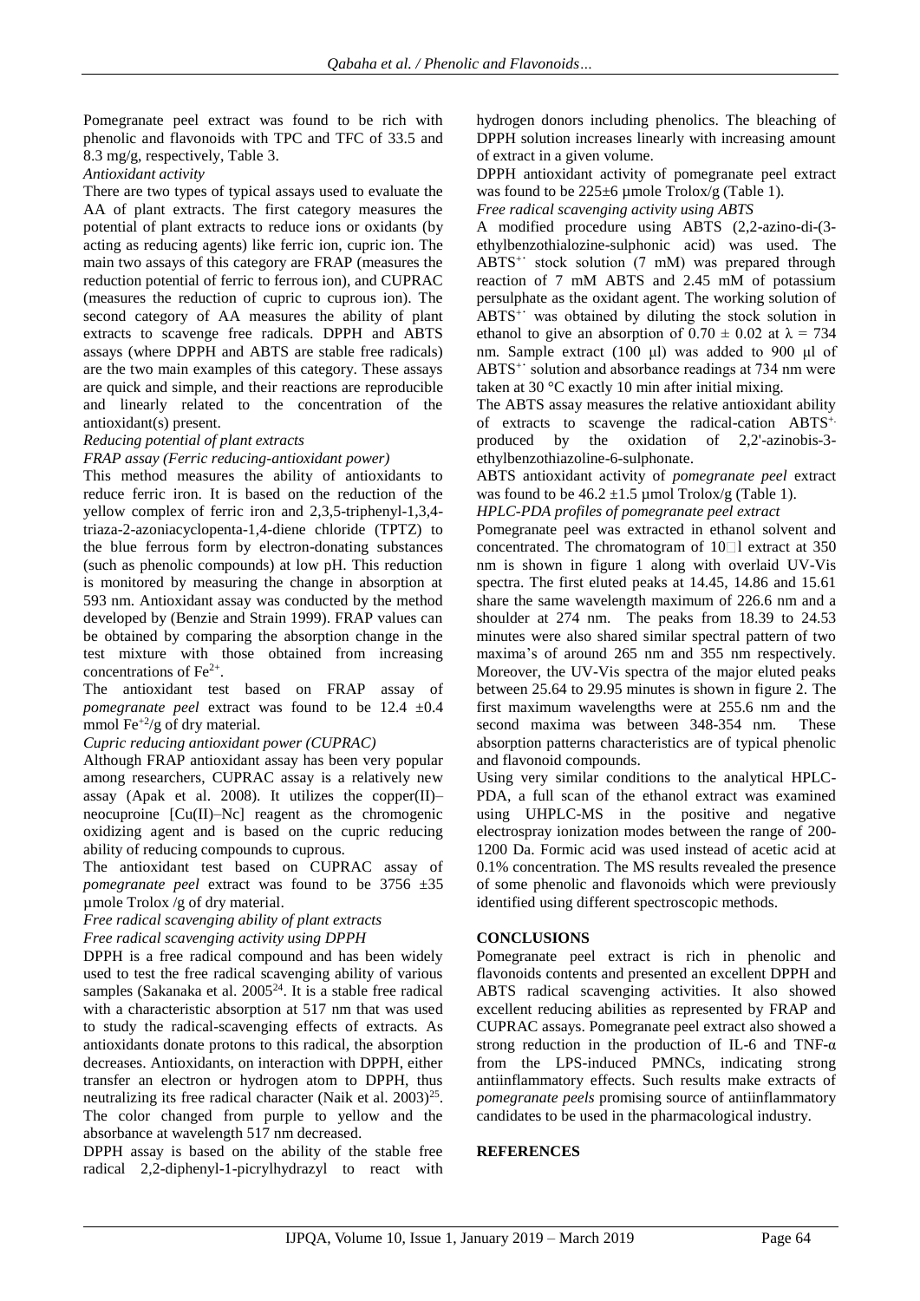Pomegranate peel extract was found to be rich with phenolic and flavonoids with TPC and TFC of 33.5 and 8.3 mg/g, respectively, Table 3.

*Antioxidant activity*

There are two types of typical assays used to evaluate the AA of plant extracts. The first category measures the potential of plant extracts to reduce ions or oxidants (by acting as reducing agents) like ferric ion, cupric ion. The main two assays of this category are FRAP (measures the reduction potential of ferric to ferrous ion), and CUPRAC (measures the reduction of cupric to cuprous ion). The second category of AA measures the ability of plant extracts to scavenge free radicals. DPPH and ABTS assays (where DPPH and ABTS are stable free radicals) are the two main examples of this category. These assays are quick and simple, and their reactions are reproducible and linearly related to the concentration of the antioxidant(s) present.

### *Reducing potential of plant extracts*

*FRAP assay (Ferric reducing-antioxidant power)*

This method measures the ability of antioxidants to reduce ferric iron. It is based on the reduction of the yellow complex of ferric iron and 2,3,5-triphenyl-1,3,4 triaza-2-azoniacyclopenta-1,4-diene chloride (TPTZ) to the blue ferrous form by electron-donating substances (such as phenolic compounds) at low pH. This reduction is monitored by measuring the change in absorption at 593 nm. Antioxidant assay was conducted by the method developed by (Benzie and Strain 1999). FRAP values can be obtained by comparing the absorption change in the test mixture with those obtained from increasing concentrations of Fe2+ .

The antioxidant test based on FRAP assay of *pomegranate peel* extract was found to be 12.4 ±0.4 mmol Fe+2/g of dry material.

*Cupric reducing antioxidant power (CUPRAC)*

Although FRAP antioxidant assay has been very popular among researchers, CUPRAC assay is a relatively new assay (Apak et al. 2008). It utilizes the copper $(II)$ – neocuproine [Cu(II)–Nc] reagent as the chromogenic oxidizing agent and is based on the cupric reducing ability of reducing compounds to cuprous.

The antioxidant test based on CUPRAC assay of *pomegranate peel* extract was found to be 3756 ±35 µmole Trolox /g of dry material.

*Free radical scavenging ability of plant extracts*

*Free radical scavenging activity using DPPH*

DPPH is a free radical compound and has been widely used to test the free radical scavenging ability of various samples (Sakanaka et al.  $2005<sup>24</sup>$ . It is a stable free radical with a characteristic absorption at 517 nm that was used to study the radical-scavenging effects of extracts. As antioxidants donate protons to this radical, the absorption decreases. Antioxidants, on interaction with DPPH, either transfer an electron or hydrogen atom to DPPH, thus neutralizing its free radical character (Naik et al.  $2003)^{25}$ . The color changed from purple to yellow and the absorbance at wavelength 517 nm decreased.

DPPH assay is based on the ability of the stable free radical 2,2-diphenyl-1-picrylhydrazyl to react with hydrogen donors including phenolics. The bleaching of DPPH solution increases linearly with increasing amount of extract in a given volume.

DPPH antioxidant activity of pomegranate peel extract was found to be  $225\pm 6$  µmole Trolox/g (Table 1).

*Free radical scavenging activity using ABTS*

A modified procedure using ABTS (2,2-azino-di-(3 ethylbenzothialozine-sulphonic acid) was used. The ABTS<sup>+</sup> stock solution (7 mM) was prepared through reaction of 7 mM ABTS and 2.45 mM of potassium persulphate as the oxidant agent. The working solution of ABTS<sup>+</sup> was obtained by diluting the stock solution in ethanol to give an absorption of  $0.70 \pm 0.02$  at  $\lambda = 734$ nm. Sample extract (100 μl) was added to 900 μl of ABTS<sup>++</sup> solution and absorbance readings at 734 nm were taken at 30 °C exactly 10 min after initial mixing.

The ABTS assay measures the relative antioxidant ability of extracts to scavenge the radical-cation ABTS+. produced by the oxidation of 2,2'-azinobis-3 ethylbenzothiazoline-6-sulphonate.

ABTS antioxidant activity of *pomegranate peel* extract was found to be  $46.2 \pm 1.5$  µmol Trolox/g (Table 1).

*HPLC-PDA profiles of pomegranate peel extract* 

Pomegranate peel was extracted in ethanol solvent and concentrated. The chromatogram of  $10$  | extract at 350 nm is shown in figure 1 along with overlaid UV-Vis spectra. The first eluted peaks at 14.45, 14.86 and 15.61 share the same wavelength maximum of 226.6 nm and a shoulder at 274 nm. The peaks from 18.39 to 24.53 minutes were also shared similar spectral pattern of two maxima's of around 265 nm and 355 nm respectively. Moreover, the UV-Vis spectra of the major eluted peaks between 25.64 to 29.95 minutes is shown in figure 2. The first maximum wavelengths were at 255.6 nm and the second maxima was between 348-354 nm. These absorption patterns characteristics are of typical phenolic and flavonoid compounds.

Using very similar conditions to the analytical HPLC-PDA, a full scan of the ethanol extract was examined using UHPLC-MS in the positive and negative electrospray ionization modes between the range of 200- 1200 Da. Formic acid was used instead of acetic acid at 0.1% concentration. The MS results revealed the presence of some phenolic and flavonoids which were previously identified using different spectroscopic methods.

### **CONCLUSIONS**

Pomegranate peel extract is rich in phenolic and flavonoids contents and presented an excellent DPPH and ABTS radical scavenging activities. It also showed excellent reducing abilities as represented by FRAP and CUPRAC assays. Pomegranate peel extract also showed a strong reduction in the production of IL-6 and TNF- $\alpha$ from the LPS-induced PMNCs, indicating strong antiinflammatory effects. Such results make extracts of *pomegranate peels* promising source of antiinflammatory candidates to be used in the pharmacological industry.

#### **REFERENCES**